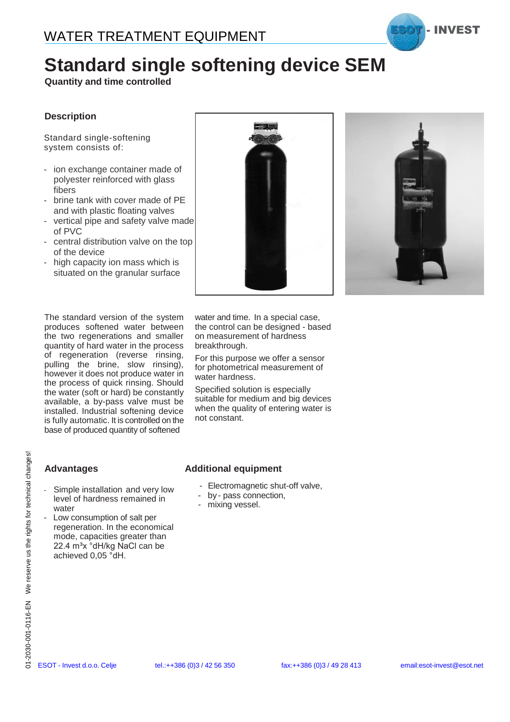

## **Standard single softening device SEM**

**Quantity and time controlled**

#### **Description**

Standard single-softening system consists of:

- ion exchange container made of polyester reinforced with glass fibers
- brine tank with cover made of PE and with plastic floating valves
- vertical pipe and safety valve made of PVC
- central distribution valve on the top of the device
- high capacity ion mass which is situated on the granular surface

The standard version of the system produces softened water between the two regenerations and smaller quantity of hard water in the process of regeneration (reverse rinsing, pulling the brine, slow rinsing), however it does not produce water in the process of quick rinsing. Should the water (soft or hard) be constantly available, a by-pass valve must be installed. Industrial softening device is fully automatic. It is controlled on the base of produced quantity of softened





water and time. In a special case, the control can be designed - based on measurement of hardness breakthrough.

For this purpose we offer a sensor for photometrical measurement of water hardness.

Specified solution is especially suitable for medium and big devices when the quality of entering water is not constant.

#### **Advantages**

- Simple installation and very low level of hardness remained in water
- Low consumption of salt per regeneration. In the economical mode, capacities greater than 22.4 m<sup>3</sup>x °dH/kg NaCl can be achieved 0,05 °dH. **21**<br>  $\frac{36}{25}$ <br> **Escription Additional equipment**<br>
Simple installation and very low<br>  $\frac{1}{25}$ <br>
level of hardness remained in<br>  $\frac{1}{25}$ <br>  $\frac{1}{25}$ <br>
regeneration. In the economical<br>  $\frac{2}{5}$ <br>
regeneration. In the e

#### **Additional equipment**

- Electromagnetic shut-off valve,
- by pass connection,
- mixing vessel.